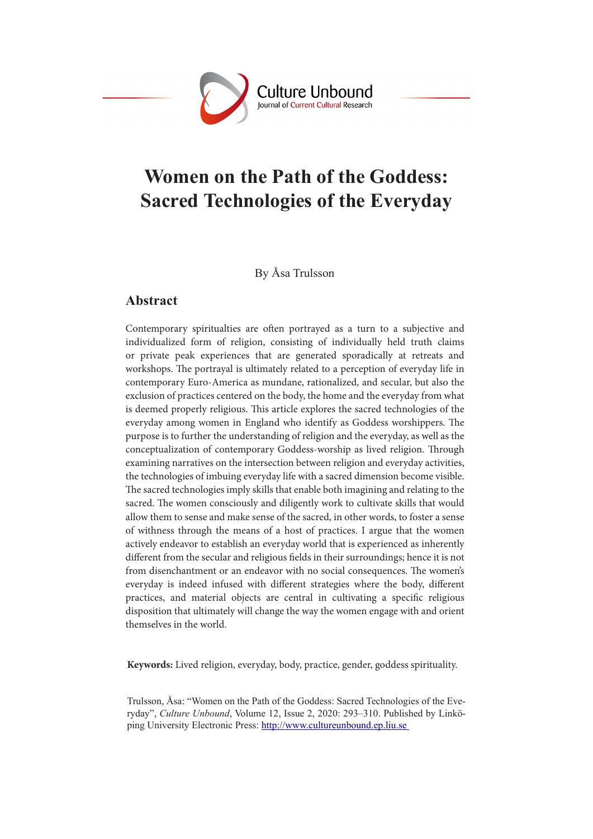

# **Women on the Path of the Goddess: Sacred Technologies of the Everyday**

By Åsa Trulsson

### **Abstract**

Contemporary spiritualties are often portrayed as a turn to a subjective and individualized form of religion, consisting of individually held truth claims or private peak experiences that are generated sporadically at retreats and workshops. The portrayal is ultimately related to a perception of everyday life in contemporary Euro-America as mundane, rationalized, and secular, but also the exclusion of practices centered on the body, the home and the everyday from what is deemed properly religious. This article explores the sacred technologies of the everyday among women in England who identify as Goddess worshippers. The purpose is to further the understanding of religion and the everyday, as well as the conceptualization of contemporary Goddess-worship as lived religion. Through examining narratives on the intersection between religion and everyday activities, the technologies of imbuing everyday life with a sacred dimension become visible. The sacred technologies imply skills that enable both imagining and relating to the sacred. The women consciously and diligently work to cultivate skills that would allow them to sense and make sense of the sacred, in other words, to foster a sense of withness through the means of a host of practices. I argue that the women actively endeavor to establish an everyday world that is experienced as inherently different from the secular and religious fields in their surroundings; hence it is not from disenchantment or an endeavor with no social consequences. The women's everyday is indeed infused with different strategies where the body, different practices, and material objects are central in cultivating a specific religious disposition that ultimately will change the way the women engage with and orient themselves in the world.

**Keywords:** Lived religion, everyday, body, practice, gender, goddess spirituality.

Trulsson, Åsa: "Women on the Path of the Goddess: Sacred Technologies of the Everyday", *Culture Unbound*, Volume 12, Issue 2, 2020: 293–310. Published by Linköping University Electronic Press: http://www.cultureunbound.ep.liu.se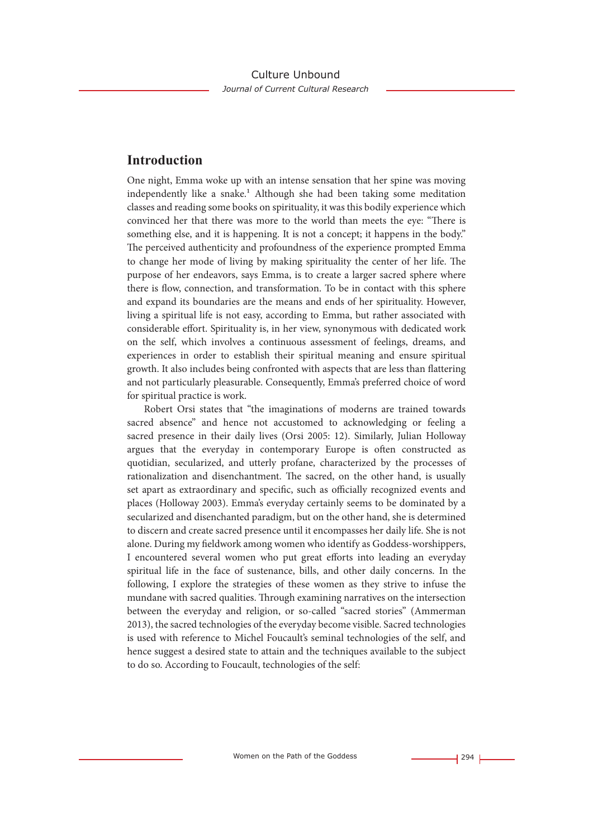### **Introduction**

One night, Emma woke up with an intense sensation that her spine was moving independently like a snake.<sup>1</sup> Although she had been taking some meditation classes and reading some books on spirituality, it was this bodily experience which convinced her that there was more to the world than meets the eye: "There is something else, and it is happening. It is not a concept; it happens in the body." The perceived authenticity and profoundness of the experience prompted Emma to change her mode of living by making spirituality the center of her life. The purpose of her endeavors, says Emma, is to create a larger sacred sphere where there is flow, connection, and transformation. To be in contact with this sphere and expand its boundaries are the means and ends of her spirituality. However, living a spiritual life is not easy, according to Emma, but rather associated with considerable effort. Spirituality is, in her view, synonymous with dedicated work on the self, which involves a continuous assessment of feelings, dreams, and experiences in order to establish their spiritual meaning and ensure spiritual growth. It also includes being confronted with aspects that are less than flattering and not particularly pleasurable. Consequently, Emma's preferred choice of word for spiritual practice is work.

Robert Orsi states that "the imaginations of moderns are trained towards sacred absence" and hence not accustomed to acknowledging or feeling a sacred presence in their daily lives (Orsi 2005: 12). Similarly, Julian Holloway argues that the everyday in contemporary Europe is often constructed as quotidian, secularized, and utterly profane, characterized by the processes of rationalization and disenchantment. The sacred, on the other hand, is usually set apart as extraordinary and specific, such as officially recognized events and places (Holloway 2003). Emma's everyday certainly seems to be dominated by a secularized and disenchanted paradigm, but on the other hand, she is determined to discern and create sacred presence until it encompasses her daily life. She is not alone. During my fieldwork among women who identify as Goddess-worshippers, I encountered several women who put great efforts into leading an everyday spiritual life in the face of sustenance, bills, and other daily concerns. In the following, I explore the strategies of these women as they strive to infuse the mundane with sacred qualities. Through examining narratives on the intersection between the everyday and religion, or so-called "sacred stories" (Ammerman 2013), the sacred technologies of the everyday become visible. Sacred technologies is used with reference to Michel Foucault's seminal technologies of the self, and hence suggest a desired state to attain and the techniques available to the subject to do so. According to Foucault, technologies of the self: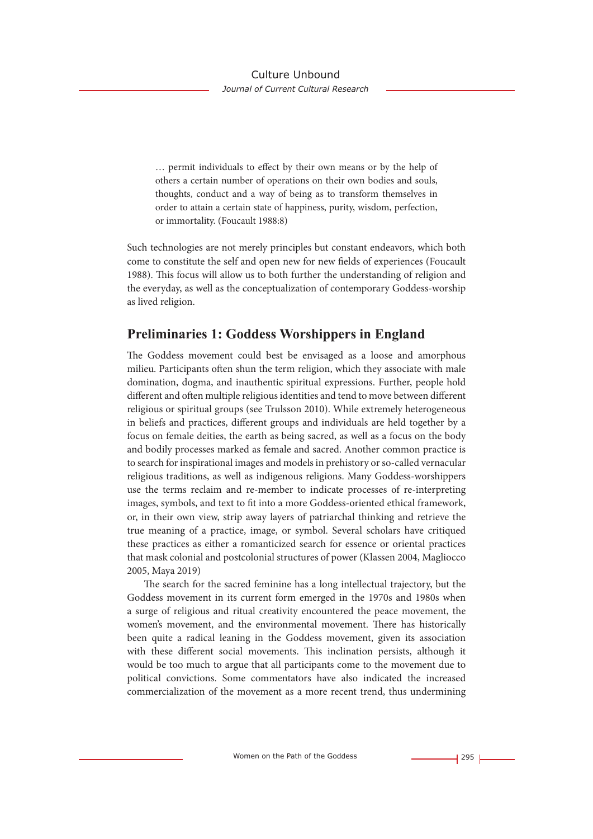… permit individuals to effect by their own means or by the help of others a certain number of operations on their own bodies and souls, thoughts, conduct and a way of being as to transform themselves in order to attain a certain state of happiness, purity, wisdom, perfection, or immortality. (Foucault 1988:8)

Such technologies are not merely principles but constant endeavors, which both come to constitute the self and open new for new fields of experiences (Foucault 1988). This focus will allow us to both further the understanding of religion and the everyday, as well as the conceptualization of contemporary Goddess-worship as lived religion.

# **Preliminaries 1: Goddess Worshippers in England**

The Goddess movement could best be envisaged as a loose and amorphous milieu. Participants often shun the term religion, which they associate with male domination, dogma, and inauthentic spiritual expressions. Further, people hold different and often multiple religious identities and tend to move between different religious or spiritual groups (see Trulsson 2010). While extremely heterogeneous in beliefs and practices, different groups and individuals are held together by a focus on female deities, the earth as being sacred, as well as a focus on the body and bodily processes marked as female and sacred. Another common practice is to search for inspirational images and models in prehistory or so-called vernacular religious traditions, as well as indigenous religions. Many Goddess-worshippers use the terms reclaim and re-member to indicate processes of re-interpreting images, symbols, and text to fit into a more Goddess-oriented ethical framework, or, in their own view, strip away layers of patriarchal thinking and retrieve the true meaning of a practice, image, or symbol. Several scholars have critiqued these practices as either a romanticized search for essence or oriental practices that mask colonial and postcolonial structures of power (Klassen 2004, Magliocco 2005, Maya 2019)

The search for the sacred feminine has a long intellectual trajectory, but the Goddess movement in its current form emerged in the 1970s and 1980s when a surge of religious and ritual creativity encountered the peace movement, the women's movement, and the environmental movement. There has historically been quite a radical leaning in the Goddess movement, given its association with these different social movements. This inclination persists, although it would be too much to argue that all participants come to the movement due to political convictions. Some commentators have also indicated the increased commercialization of the movement as a more recent trend, thus undermining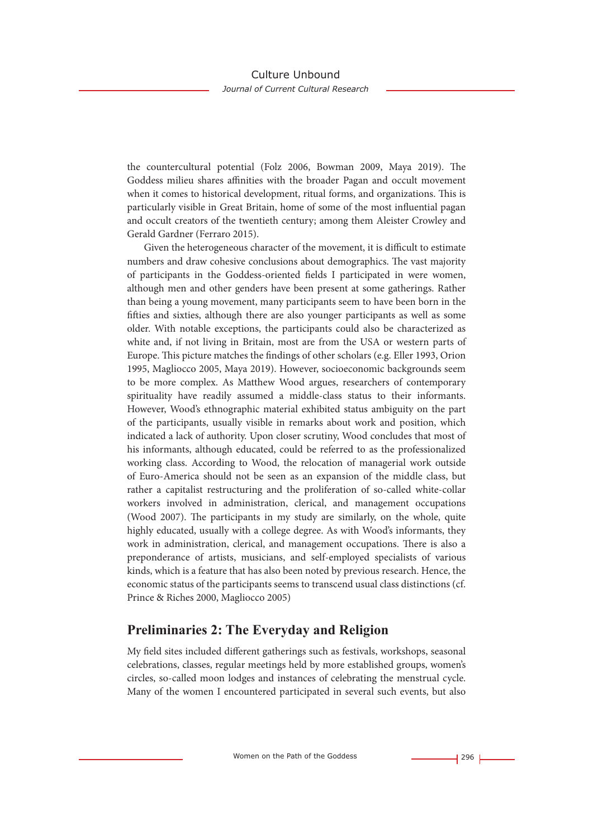the countercultural potential (Folz 2006, Bowman 2009, Maya 2019). The Goddess milieu shares affinities with the broader Pagan and occult movement when it comes to historical development, ritual forms, and organizations. This is particularly visible in Great Britain, home of some of the most influential pagan and occult creators of the twentieth century; among them Aleister Crowley and Gerald Gardner (Ferraro 2015).

Given the heterogeneous character of the movement, it is difficult to estimate numbers and draw cohesive conclusions about demographics. The vast majority of participants in the Goddess-oriented fields I participated in were women, although men and other genders have been present at some gatherings. Rather than being a young movement, many participants seem to have been born in the fifties and sixties, although there are also younger participants as well as some older. With notable exceptions, the participants could also be characterized as white and, if not living in Britain, most are from the USA or western parts of Europe. This picture matches the findings of other scholars (e.g. Eller 1993, Orion 1995, Magliocco 2005, Maya 2019). However, socioeconomic backgrounds seem to be more complex. As Matthew Wood argues, researchers of contemporary spirituality have readily assumed a middle-class status to their informants. However, Wood's ethnographic material exhibited status ambiguity on the part of the participants, usually visible in remarks about work and position, which indicated a lack of authority. Upon closer scrutiny, Wood concludes that most of his informants, although educated, could be referred to as the professionalized working class. According to Wood, the relocation of managerial work outside of Euro-America should not be seen as an expansion of the middle class, but rather a capitalist restructuring and the proliferation of so-called white-collar workers involved in administration, clerical, and management occupations (Wood 2007). The participants in my study are similarly, on the whole, quite highly educated, usually with a college degree. As with Wood's informants, they work in administration, clerical, and management occupations. There is also a preponderance of artists, musicians, and self-employed specialists of various kinds, which is a feature that has also been noted by previous research. Hence, the economic status of the participants seems to transcend usual class distinctions (cf. Prince & Riches 2000, Magliocco 2005)

# **Preliminaries 2: The Everyday and Religion**

My field sites included different gatherings such as festivals, workshops, seasonal celebrations, classes, regular meetings held by more established groups, women's circles, so-called moon lodges and instances of celebrating the menstrual cycle. Many of the women I encountered participated in several such events, but also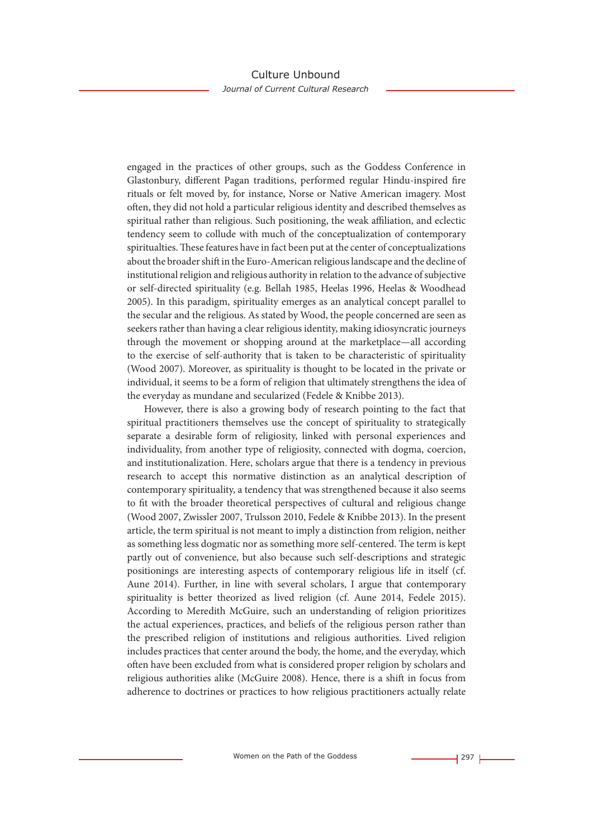engaged in the practices of other groups, such as the Goddess Conference in Glastonbury, different Pagan traditions, performed regular Hindu-inspired fire rituals or felt moved by, for instance, Norse or Native American imagery. Most often, they did not hold a particular religious identity and described themselves as spiritual rather than religious. Such positioning, the weak affiliation, and eclectic tendency seem to collude with much of the conceptualization of contemporary spiritualties. These features have in fact been put at the center of conceptualizations about the broader shift in the Euro-American religious landscape and the decline of institutional religion and religious authority in relation to the advance of subjective or self-directed spirituality (e.g. Bellah 1985, Heelas 1996, Heelas & Woodhead 2005). In this paradigm, spirituality emerges as an analytical concept parallel to the secular and the religious. As stated by Wood, the people concerned are seen as seekers rather than having a clear religious identity, making idiosyncratic journeys through the movement or shopping around at the marketplace—all according to the exercise of self-authority that is taken to be characteristic of spirituality (Wood 2007). Moreover, as spirituality is thought to be located in the private or individual, it seems to be a form of religion that ultimately strengthens the idea of the everyday as mundane and secularized (Fedele & Knibbe 2013).

However, there is also a growing body of research pointing to the fact that spiritual practitioners themselves use the concept of spirituality to strategically separate a desirable form of religiosity, linked with personal experiences and individuality, from another type of religiosity, connected with dogma, coercion, and institutionalization. Here, scholars argue that there is a tendency in previous research to accept this normative distinction as an analytical description of contemporary spirituality, a tendency that was strengthened because it also seems to fit with the broader theoretical perspectives of cultural and religious change (Wood 2007, Zwissler 2007, Trulsson 2010, Fedele & Knibbe 2013). In the present article, the term spiritual is not meant to imply a distinction from religion, neither as something less dogmatic nor as something more self-centered. The term is kept partly out of convenience, but also because such self-descriptions and strategic positionings are interesting aspects of contemporary religious life in itself (cf. Aune 2014). Further, in line with several scholars, I argue that contemporary spirituality is better theorized as lived religion (cf. Aune 2014, Fedele 2015). According to Meredith McGuire, such an understanding of religion prioritizes the actual experiences, practices, and beliefs of the religious person rather than the prescribed religion of institutions and religious authorities. Lived religion includes practices that center around the body, the home, and the everyday, which often have been excluded from what is considered proper religion by scholars and religious authorities alike (McGuire 2008). Hence, there is a shift in focus from adherence to doctrines or practices to how religious practitioners actually relate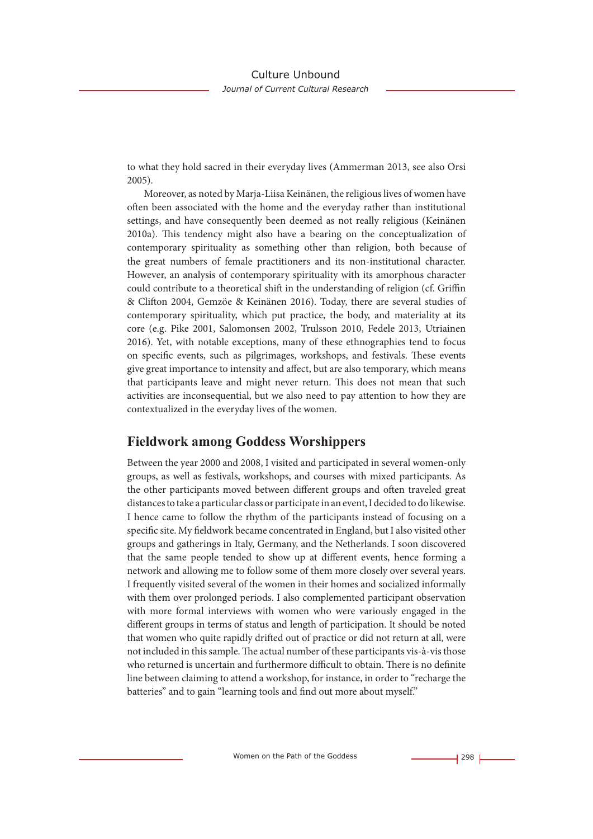to what they hold sacred in their everyday lives (Ammerman 2013, see also Orsi 2005).

Moreover, as noted by Marja-Liisa Keinänen, the religious lives of women have often been associated with the home and the everyday rather than institutional settings, and have consequently been deemed as not really religious (Keinänen 2010a). This tendency might also have a bearing on the conceptualization of contemporary spirituality as something other than religion, both because of the great numbers of female practitioners and its non-institutional character. However, an analysis of contemporary spirituality with its amorphous character could contribute to a theoretical shift in the understanding of religion (cf. Griffin & Clifton 2004, Gemzöe & Keinänen 2016). Today, there are several studies of contemporary spirituality, which put practice, the body, and materiality at its core (e.g. Pike 2001, Salomonsen 2002, Trulsson 2010, Fedele 2013, Utriainen 2016). Yet, with notable exceptions, many of these ethnographies tend to focus on specific events, such as pilgrimages, workshops, and festivals. These events give great importance to intensity and affect, but are also temporary, which means that participants leave and might never return. This does not mean that such activities are inconsequential, but we also need to pay attention to how they are contextualized in the everyday lives of the women.

### **Fieldwork among Goddess Worshippers**

Between the year 2000 and 2008, I visited and participated in several women-only groups, as well as festivals, workshops, and courses with mixed participants. As the other participants moved between different groups and often traveled great distances to take a particular class or participate in an event, I decided to do likewise. I hence came to follow the rhythm of the participants instead of focusing on a specific site. My fieldwork became concentrated in England, but I also visited other groups and gatherings in Italy, Germany, and the Netherlands. I soon discovered that the same people tended to show up at different events, hence forming a network and allowing me to follow some of them more closely over several years. I frequently visited several of the women in their homes and socialized informally with them over prolonged periods. I also complemented participant observation with more formal interviews with women who were variously engaged in the different groups in terms of status and length of participation. It should be noted that women who quite rapidly drifted out of practice or did not return at all, were not included in this sample. The actual number of these participants vis-à-vis those who returned is uncertain and furthermore difficult to obtain. There is no definite line between claiming to attend a workshop, for instance, in order to "recharge the batteries" and to gain "learning tools and find out more about myself."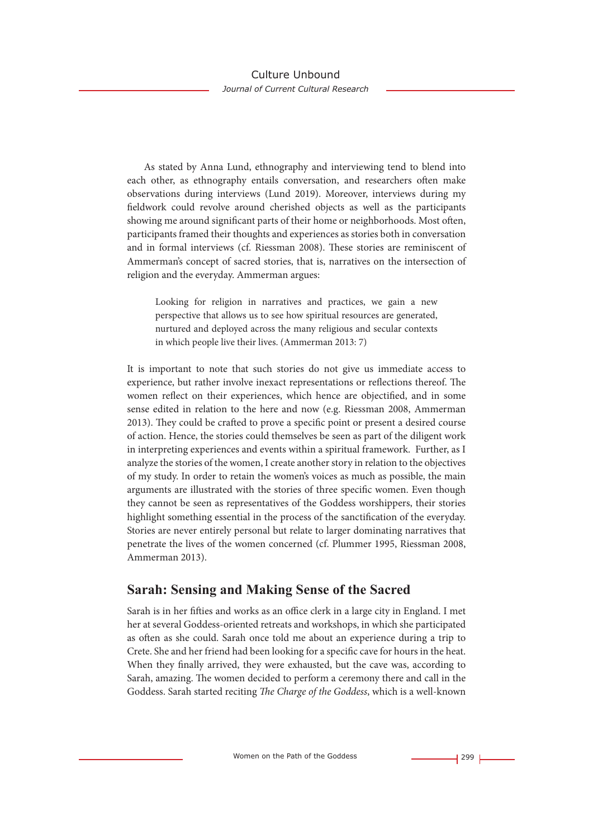As stated by Anna Lund, ethnography and interviewing tend to blend into each other, as ethnography entails conversation, and researchers often make observations during interviews (Lund 2019). Moreover, interviews during my fieldwork could revolve around cherished objects as well as the participants showing me around significant parts of their home or neighborhoods. Most often, participants framed their thoughts and experiences as stories both in conversation and in formal interviews (cf. Riessman 2008). These stories are reminiscent of Ammerman's concept of sacred stories, that is, narratives on the intersection of religion and the everyday. Ammerman argues:

Looking for religion in narratives and practices, we gain a new perspective that allows us to see how spiritual resources are generated, nurtured and deployed across the many religious and secular contexts in which people live their lives. (Ammerman 2013: 7)

It is important to note that such stories do not give us immediate access to experience, but rather involve inexact representations or reflections thereof. The women reflect on their experiences, which hence are objectified, and in some sense edited in relation to the here and now (e.g. Riessman 2008, Ammerman 2013). They could be crafted to prove a specific point or present a desired course of action. Hence, the stories could themselves be seen as part of the diligent work in interpreting experiences and events within a spiritual framework. Further, as I analyze the stories of the women, I create another story in relation to the objectives of my study. In order to retain the women's voices as much as possible, the main arguments are illustrated with the stories of three specific women. Even though they cannot be seen as representatives of the Goddess worshippers, their stories highlight something essential in the process of the sanctification of the everyday. Stories are never entirely personal but relate to larger dominating narratives that penetrate the lives of the women concerned (cf. Plummer 1995, Riessman 2008, Ammerman 2013).

# **Sarah: Sensing and Making Sense of the Sacred**

Sarah is in her fifties and works as an office clerk in a large city in England. I met her at several Goddess-oriented retreats and workshops, in which she participated as often as she could. Sarah once told me about an experience during a trip to Crete. She and her friend had been looking for a specific cave for hours in the heat. When they finally arrived, they were exhausted, but the cave was, according to Sarah, amazing. The women decided to perform a ceremony there and call in the Goddess. Sarah started reciting *The Charge of the Goddess*, which is a well-known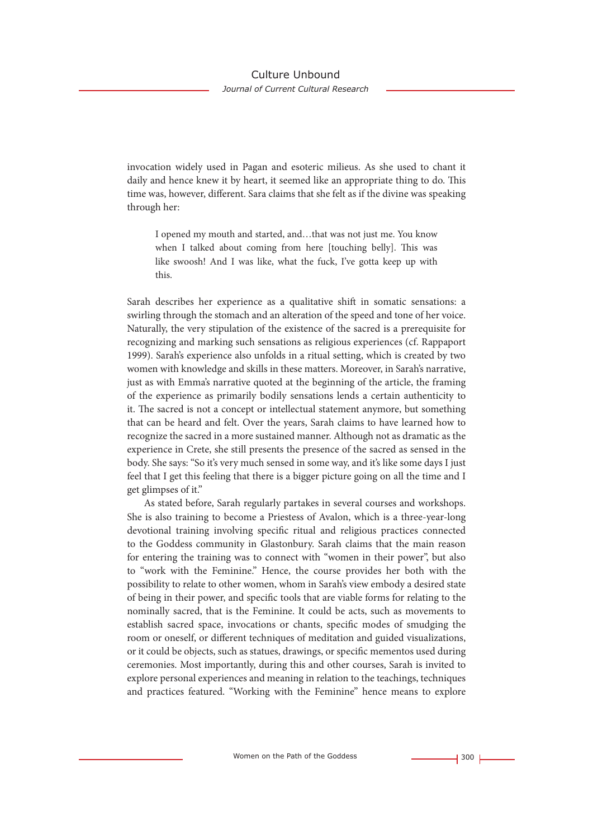invocation widely used in Pagan and esoteric milieus. As she used to chant it daily and hence knew it by heart, it seemed like an appropriate thing to do. This time was, however, different. Sara claims that she felt as if the divine was speaking through her:

I opened my mouth and started, and…that was not just me. You know when I talked about coming from here [touching belly]. This was like swoosh! And I was like, what the fuck, I've gotta keep up with this.

Sarah describes her experience as a qualitative shift in somatic sensations: a swirling through the stomach and an alteration of the speed and tone of her voice. Naturally, the very stipulation of the existence of the sacred is a prerequisite for recognizing and marking such sensations as religious experiences (cf. Rappaport 1999). Sarah's experience also unfolds in a ritual setting, which is created by two women with knowledge and skills in these matters. Moreover, in Sarah's narrative, just as with Emma's narrative quoted at the beginning of the article, the framing of the experience as primarily bodily sensations lends a certain authenticity to it. The sacred is not a concept or intellectual statement anymore, but something that can be heard and felt. Over the years, Sarah claims to have learned how to recognize the sacred in a more sustained manner. Although not as dramatic as the experience in Crete, she still presents the presence of the sacred as sensed in the body. She says: "So it's very much sensed in some way, and it's like some days I just feel that I get this feeling that there is a bigger picture going on all the time and I get glimpses of it."

As stated before, Sarah regularly partakes in several courses and workshops. She is also training to become a Priestess of Avalon, which is a three-year-long devotional training involving specific ritual and religious practices connected to the Goddess community in Glastonbury. Sarah claims that the main reason for entering the training was to connect with "women in their power", but also to "work with the Feminine." Hence, the course provides her both with the possibility to relate to other women, whom in Sarah's view embody a desired state of being in their power, and specific tools that are viable forms for relating to the nominally sacred, that is the Feminine. It could be acts, such as movements to establish sacred space, invocations or chants, specific modes of smudging the room or oneself, or different techniques of meditation and guided visualizations, or it could be objects, such as statues, drawings, or specific mementos used during ceremonies. Most importantly, during this and other courses, Sarah is invited to explore personal experiences and meaning in relation to the teachings, techniques and practices featured. "Working with the Feminine" hence means to explore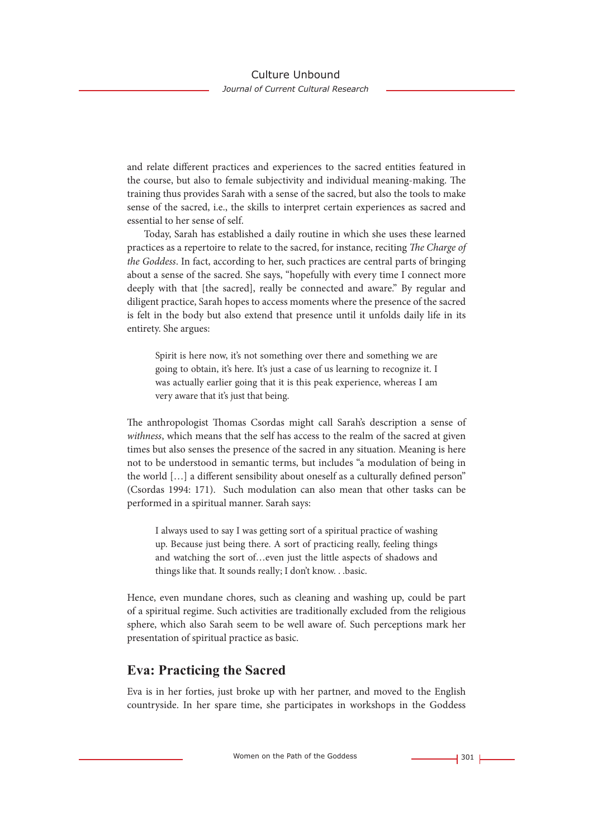and relate different practices and experiences to the sacred entities featured in the course, but also to female subjectivity and individual meaning-making. The training thus provides Sarah with a sense of the sacred, but also the tools to make sense of the sacred, i.e., the skills to interpret certain experiences as sacred and essential to her sense of self.

Today, Sarah has established a daily routine in which she uses these learned practices as a repertoire to relate to the sacred, for instance, reciting *The Charge of the Goddess*. In fact, according to her, such practices are central parts of bringing about a sense of the sacred. She says, "hopefully with every time I connect more deeply with that [the sacred], really be connected and aware." By regular and diligent practice, Sarah hopes to access moments where the presence of the sacred is felt in the body but also extend that presence until it unfolds daily life in its entirety. She argues:

Spirit is here now, it's not something over there and something we are going to obtain, it's here. It's just a case of us learning to recognize it. I was actually earlier going that it is this peak experience, whereas I am very aware that it's just that being.

The anthropologist Thomas Csordas might call Sarah's description a sense of *withness*, which means that the self has access to the realm of the sacred at given times but also senses the presence of the sacred in any situation. Meaning is here not to be understood in semantic terms, but includes "a modulation of being in the world […] a different sensibility about oneself as a culturally defined person" (Csordas 1994: 171). Such modulation can also mean that other tasks can be performed in a spiritual manner. Sarah says:

I always used to say I was getting sort of a spiritual practice of washing up. Because just being there. A sort of practicing really, feeling things and watching the sort of…even just the little aspects of shadows and things like that. It sounds really; I don't know. . .basic.

Hence, even mundane chores, such as cleaning and washing up, could be part of a spiritual regime. Such activities are traditionally excluded from the religious sphere, which also Sarah seem to be well aware of. Such perceptions mark her presentation of spiritual practice as basic.

# **Eva: Practicing the Sacred**

Eva is in her forties, just broke up with her partner, and moved to the English countryside. In her spare time, she participates in workshops in the Goddess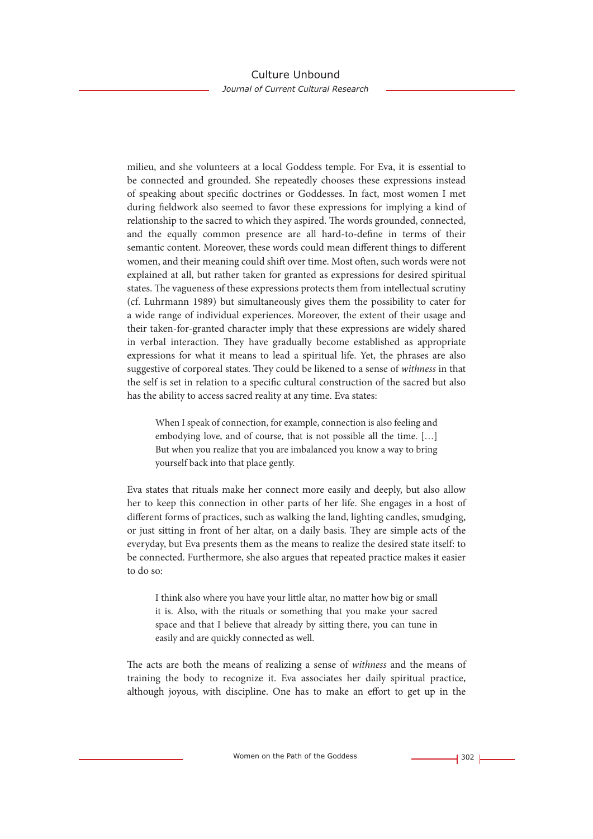milieu, and she volunteers at a local Goddess temple. For Eva, it is essential to be connected and grounded. She repeatedly chooses these expressions instead of speaking about specific doctrines or Goddesses. In fact, most women I met during fieldwork also seemed to favor these expressions for implying a kind of relationship to the sacred to which they aspired. The words grounded, connected, and the equally common presence are all hard-to-define in terms of their semantic content. Moreover, these words could mean different things to different women, and their meaning could shift over time. Most often, such words were not explained at all, but rather taken for granted as expressions for desired spiritual states. The vagueness of these expressions protects them from intellectual scrutiny (cf. Luhrmann 1989) but simultaneously gives them the possibility to cater for a wide range of individual experiences. Moreover, the extent of their usage and their taken-for-granted character imply that these expressions are widely shared in verbal interaction. They have gradually become established as appropriate expressions for what it means to lead a spiritual life. Yet, the phrases are also suggestive of corporeal states. They could be likened to a sense of *withness* in that the self is set in relation to a specific cultural construction of the sacred but also has the ability to access sacred reality at any time. Eva states:

When I speak of connection, for example, connection is also feeling and embodying love, and of course, that is not possible all the time. […] But when you realize that you are imbalanced you know a way to bring yourself back into that place gently.

Eva states that rituals make her connect more easily and deeply, but also allow her to keep this connection in other parts of her life. She engages in a host of different forms of practices, such as walking the land, lighting candles, smudging, or just sitting in front of her altar, on a daily basis. They are simple acts of the everyday, but Eva presents them as the means to realize the desired state itself: to be connected. Furthermore, she also argues that repeated practice makes it easier to do so:

I think also where you have your little altar, no matter how big or small it is. Also, with the rituals or something that you make your sacred space and that I believe that already by sitting there, you can tune in easily and are quickly connected as well.

The acts are both the means of realizing a sense of *withness* and the means of training the body to recognize it. Eva associates her daily spiritual practice, although joyous, with discipline. One has to make an effort to get up in the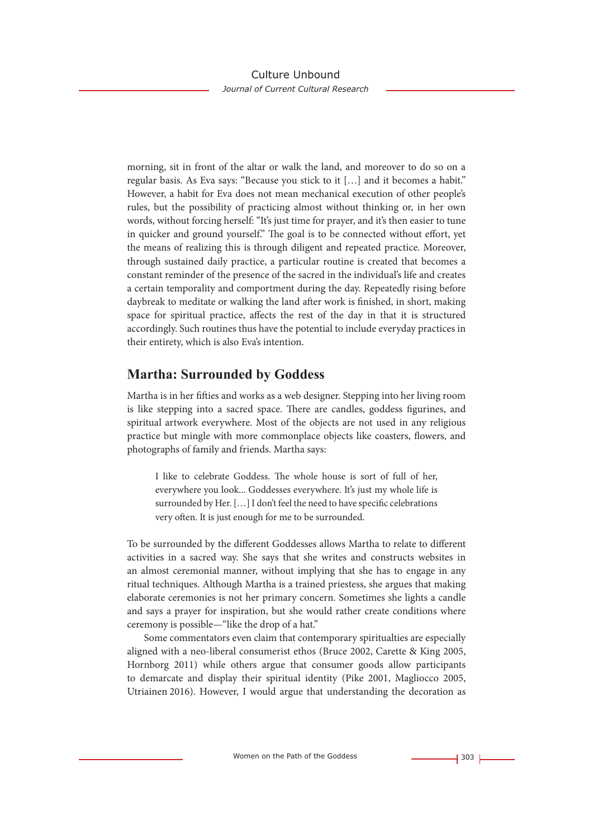morning, sit in front of the altar or walk the land, and moreover to do so on a regular basis. As Eva says: "Because you stick to it […] and it becomes a habit." However, a habit for Eva does not mean mechanical execution of other people's rules, but the possibility of practicing almost without thinking or, in her own words, without forcing herself: "It's just time for prayer, and it's then easier to tune in quicker and ground yourself." The goal is to be connected without effort, yet the means of realizing this is through diligent and repeated practice. Moreover, through sustained daily practice, a particular routine is created that becomes a constant reminder of the presence of the sacred in the individual's life and creates a certain temporality and comportment during the day. Repeatedly rising before daybreak to meditate or walking the land after work is finished, in short, making space for spiritual practice, affects the rest of the day in that it is structured accordingly. Such routines thus have the potential to include everyday practices in their entirety, which is also Eva's intention.

# **Martha: Surrounded by Goddess**

Martha is in her fifties and works as a web designer. Stepping into her living room is like stepping into a sacred space. There are candles, goddess figurines, and spiritual artwork everywhere. Most of the objects are not used in any religious practice but mingle with more commonplace objects like coasters, flowers, and photographs of family and friends. Martha says:

I like to celebrate Goddess. The whole house is sort of full of her, everywhere you look... Goddesses everywhere. It's just my whole life is surrounded by Her. […] I don't feel the need to have specific celebrations very often. It is just enough for me to be surrounded.

To be surrounded by the different Goddesses allows Martha to relate to different activities in a sacred way. She says that she writes and constructs websites in an almost ceremonial manner, without implying that she has to engage in any ritual techniques. Although Martha is a trained priestess, she argues that making elaborate ceremonies is not her primary concern. Sometimes she lights a candle and says a prayer for inspiration, but she would rather create conditions where ceremony is possible—"like the drop of a hat."

Some commentators even claim that contemporary spiritualties are especially aligned with a neo-liberal consumerist ethos (Bruce 2002, Carette & King 2005, Hornborg 2011) while others argue that consumer goods allow participants to demarcate and display their spiritual identity (Pike 2001, Magliocco 2005, Utriainen 2016). However, I would argue that understanding the decoration as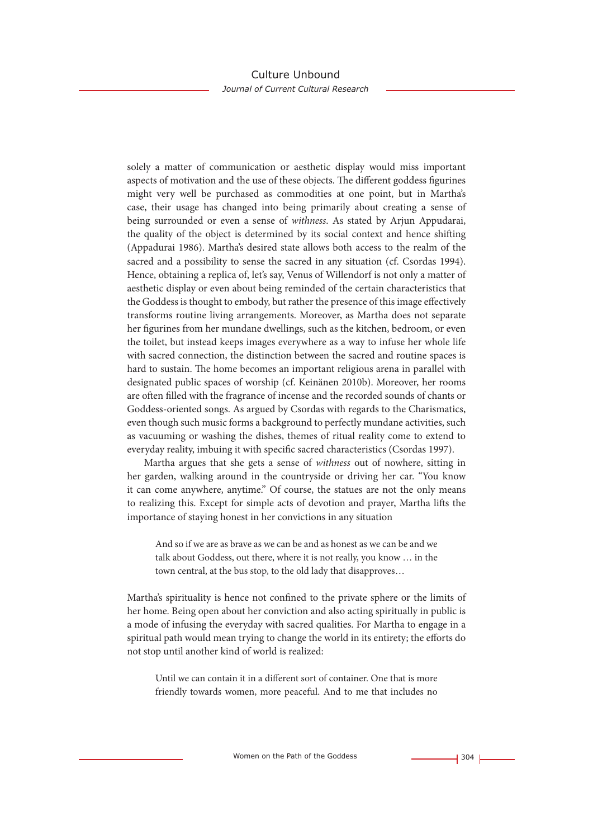solely a matter of communication or aesthetic display would miss important aspects of motivation and the use of these objects. The different goddess figurines might very well be purchased as commodities at one point, but in Martha's case, their usage has changed into being primarily about creating a sense of being surrounded or even a sense of *withness*. As stated by Arjun Appudarai, the quality of the object is determined by its social context and hence shifting (Appadurai 1986). Martha's desired state allows both access to the realm of the sacred and a possibility to sense the sacred in any situation (cf. Csordas 1994). Hence, obtaining a replica of, let's say, Venus of Willendorf is not only a matter of aesthetic display or even about being reminded of the certain characteristics that the Goddess is thought to embody, but rather the presence of this image effectively transforms routine living arrangements. Moreover, as Martha does not separate her figurines from her mundane dwellings, such as the kitchen, bedroom, or even the toilet, but instead keeps images everywhere as a way to infuse her whole life with sacred connection, the distinction between the sacred and routine spaces is hard to sustain. The home becomes an important religious arena in parallel with designated public spaces of worship (cf. Keinänen 2010b). Moreover, her rooms are often filled with the fragrance of incense and the recorded sounds of chants or Goddess-oriented songs. As argued by Csordas with regards to the Charismatics, even though such music forms a background to perfectly mundane activities, such as vacuuming or washing the dishes, themes of ritual reality come to extend to everyday reality, imbuing it with specific sacred characteristics (Csordas 1997).

Martha argues that she gets a sense of *withness* out of nowhere, sitting in her garden, walking around in the countryside or driving her car. "You know it can come anywhere, anytime." Of course, the statues are not the only means to realizing this. Except for simple acts of devotion and prayer, Martha lifts the importance of staying honest in her convictions in any situation

And so if we are as brave as we can be and as honest as we can be and we talk about Goddess, out there, where it is not really, you know … in the town central, at the bus stop, to the old lady that disapproves…

Martha's spirituality is hence not confined to the private sphere or the limits of her home. Being open about her conviction and also acting spiritually in public is a mode of infusing the everyday with sacred qualities. For Martha to engage in a spiritual path would mean trying to change the world in its entirety; the efforts do not stop until another kind of world is realized:

Until we can contain it in a different sort of container. One that is more friendly towards women, more peaceful. And to me that includes no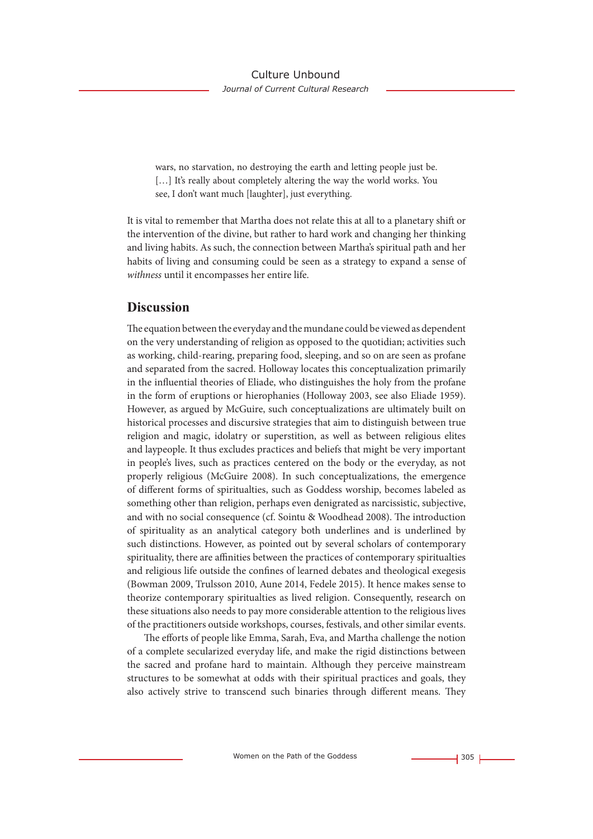wars, no starvation, no destroying the earth and letting people just be. [...] It's really about completely altering the way the world works. You see, I don't want much [laughter], just everything.

It is vital to remember that Martha does not relate this at all to a planetary shift or the intervention of the divine, but rather to hard work and changing her thinking and living habits. As such, the connection between Martha's spiritual path and her habits of living and consuming could be seen as a strategy to expand a sense of *withness* until it encompasses her entire life.

### **Discussion**

The equation between the everyday and the mundane could be viewed as dependent on the very understanding of religion as opposed to the quotidian; activities such as working, child-rearing, preparing food, sleeping, and so on are seen as profane and separated from the sacred. Holloway locates this conceptualization primarily in the influential theories of Eliade, who distinguishes the holy from the profane in the form of eruptions or hierophanies (Holloway 2003, see also Eliade 1959). However, as argued by McGuire, such conceptualizations are ultimately built on historical processes and discursive strategies that aim to distinguish between true religion and magic, idolatry or superstition, as well as between religious elites and laypeople. It thus excludes practices and beliefs that might be very important in people's lives, such as practices centered on the body or the everyday, as not properly religious (McGuire 2008). In such conceptualizations, the emergence of different forms of spiritualties, such as Goddess worship, becomes labeled as something other than religion, perhaps even denigrated as narcissistic, subjective, and with no social consequence (cf. Sointu & Woodhead 2008). The introduction of spirituality as an analytical category both underlines and is underlined by such distinctions. However, as pointed out by several scholars of contemporary spirituality, there are affinities between the practices of contemporary spiritualties and religious life outside the confines of learned debates and theological exegesis (Bowman 2009, Trulsson 2010, Aune 2014, Fedele 2015). It hence makes sense to theorize contemporary spiritualties as lived religion. Consequently, research on these situations also needs to pay more considerable attention to the religious lives of the practitioners outside workshops, courses, festivals, and other similar events.

The efforts of people like Emma, Sarah, Eva, and Martha challenge the notion of a complete secularized everyday life, and make the rigid distinctions between the sacred and profane hard to maintain. Although they perceive mainstream structures to be somewhat at odds with their spiritual practices and goals, they also actively strive to transcend such binaries through different means. They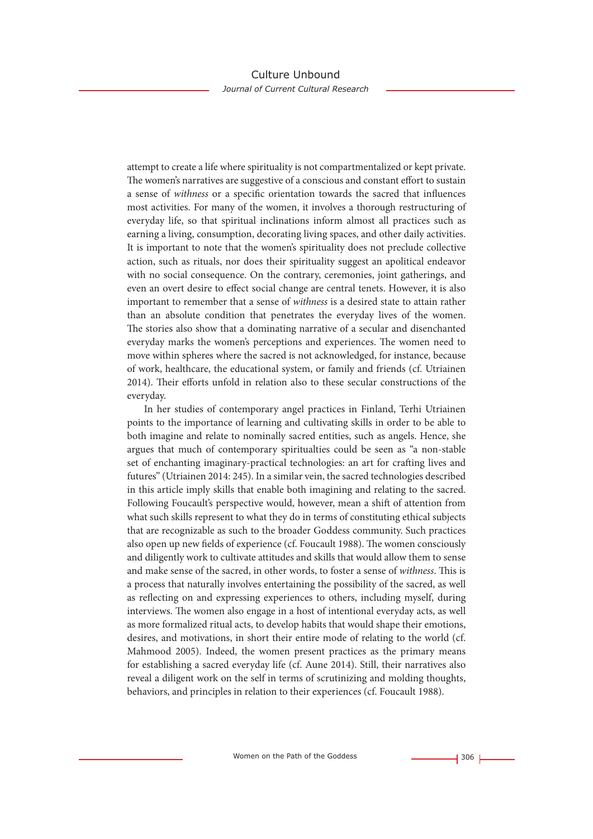attempt to create a life where spirituality is not compartmentalized or kept private. The women's narratives are suggestive of a conscious and constant effort to sustain a sense of *withness* or a specific orientation towards the sacred that influences most activities. For many of the women, it involves a thorough restructuring of everyday life, so that spiritual inclinations inform almost all practices such as earning a living, consumption, decorating living spaces, and other daily activities. It is important to note that the women's spirituality does not preclude collective action, such as rituals, nor does their spirituality suggest an apolitical endeavor with no social consequence. On the contrary, ceremonies, joint gatherings, and even an overt desire to effect social change are central tenets. However, it is also important to remember that a sense of *withness* is a desired state to attain rather than an absolute condition that penetrates the everyday lives of the women. The stories also show that a dominating narrative of a secular and disenchanted everyday marks the women's perceptions and experiences. The women need to move within spheres where the sacred is not acknowledged, for instance, because of work, healthcare, the educational system, or family and friends (cf. Utriainen 2014). Their efforts unfold in relation also to these secular constructions of the everyday.

In her studies of contemporary angel practices in Finland, Terhi Utriainen points to the importance of learning and cultivating skills in order to be able to both imagine and relate to nominally sacred entities, such as angels. Hence, she argues that much of contemporary spiritualties could be seen as "a non-stable set of enchanting imaginary-practical technologies: an art for crafting lives and futures" (Utriainen 2014: 245). In a similar vein, the sacred technologies described in this article imply skills that enable both imagining and relating to the sacred. Following Foucault's perspective would, however, mean a shift of attention from what such skills represent to what they do in terms of constituting ethical subjects that are recognizable as such to the broader Goddess community. Such practices also open up new fields of experience (cf. Foucault 1988). The women consciously and diligently work to cultivate attitudes and skills that would allow them to sense and make sense of the sacred, in other words, to foster a sense of *withness*. This is a process that naturally involves entertaining the possibility of the sacred, as well as reflecting on and expressing experiences to others, including myself, during interviews. The women also engage in a host of intentional everyday acts, as well as more formalized ritual acts, to develop habits that would shape their emotions, desires, and motivations, in short their entire mode of relating to the world (cf. Mahmood 2005). Indeed, the women present practices as the primary means for establishing a sacred everyday life (cf. Aune 2014). Still, their narratives also reveal a diligent work on the self in terms of scrutinizing and molding thoughts, behaviors, and principles in relation to their experiences (cf. Foucault 1988).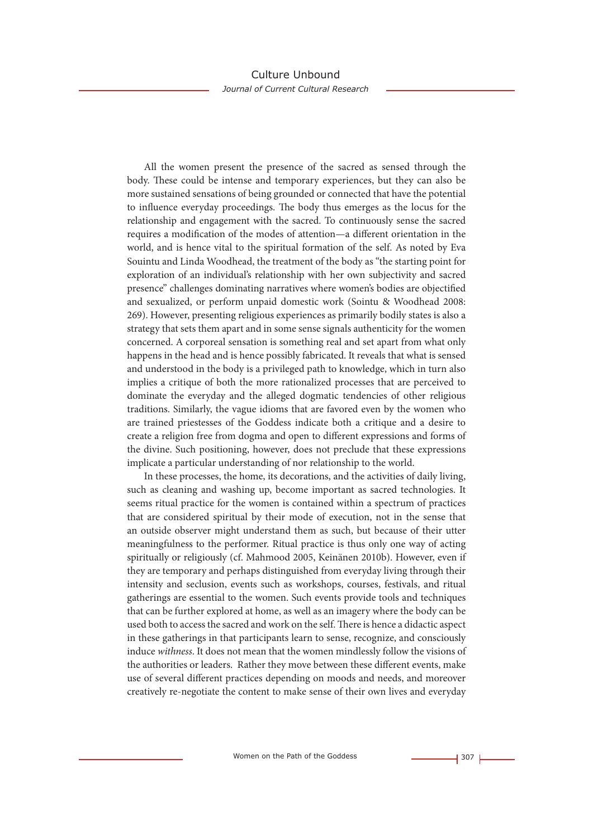All the women present the presence of the sacred as sensed through the body. These could be intense and temporary experiences, but they can also be more sustained sensations of being grounded or connected that have the potential to influence everyday proceedings. The body thus emerges as the locus for the relationship and engagement with the sacred. To continuously sense the sacred requires a modification of the modes of attention—a different orientation in the world, and is hence vital to the spiritual formation of the self. As noted by Eva Souintu and Linda Woodhead, the treatment of the body as "the starting point for exploration of an individual's relationship with her own subjectivity and sacred presence" challenges dominating narratives where women's bodies are objectified and sexualized, or perform unpaid domestic work (Sointu & Woodhead 2008: 269). However, presenting religious experiences as primarily bodily states is also a strategy that sets them apart and in some sense signals authenticity for the women concerned. A corporeal sensation is something real and set apart from what only happens in the head and is hence possibly fabricated. It reveals that what is sensed and understood in the body is a privileged path to knowledge, which in turn also implies a critique of both the more rationalized processes that are perceived to dominate the everyday and the alleged dogmatic tendencies of other religious traditions. Similarly, the vague idioms that are favored even by the women who are trained priestesses of the Goddess indicate both a critique and a desire to create a religion free from dogma and open to different expressions and forms of the divine. Such positioning, however, does not preclude that these expressions implicate a particular understanding of nor relationship to the world.

In these processes, the home, its decorations, and the activities of daily living, such as cleaning and washing up, become important as sacred technologies. It seems ritual practice for the women is contained within a spectrum of practices that are considered spiritual by their mode of execution, not in the sense that an outside observer might understand them as such, but because of their utter meaningfulness to the performer. Ritual practice is thus only one way of acting spiritually or religiously (cf. Mahmood 2005, Keinänen 2010b). However, even if they are temporary and perhaps distinguished from everyday living through their intensity and seclusion, events such as workshops, courses, festivals, and ritual gatherings are essential to the women. Such events provide tools and techniques that can be further explored at home, as well as an imagery where the body can be used both to access the sacred and work on the self. There is hence a didactic aspect in these gatherings in that participants learn to sense, recognize, and consciously induce *withness*. It does not mean that the women mindlessly follow the visions of the authorities or leaders. Rather they move between these different events, make use of several different practices depending on moods and needs, and moreover creatively re-negotiate the content to make sense of their own lives and everyday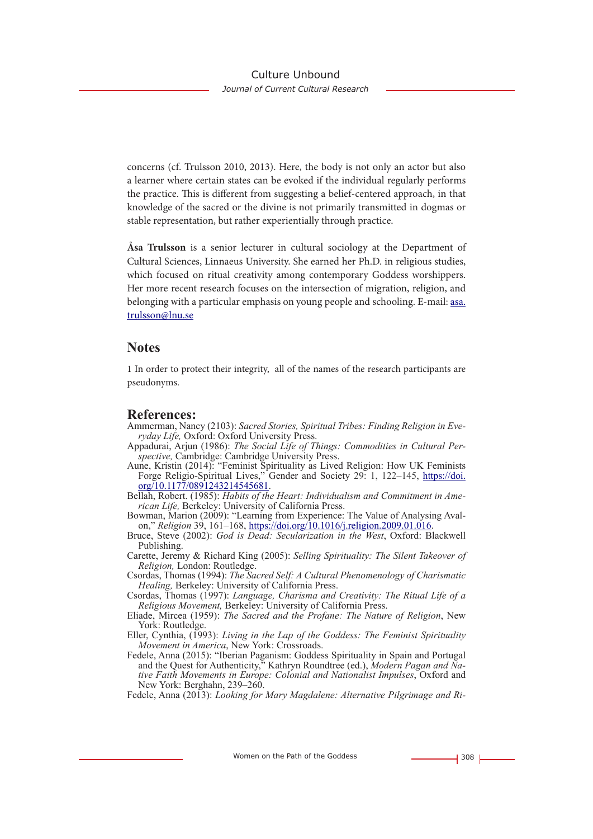concerns (cf. Trulsson 2010, 2013). Here, the body is not only an actor but also a learner where certain states can be evoked if the individual regularly performs the practice. This is different from suggesting a belief-centered approach, in that knowledge of the sacred or the divine is not primarily transmitted in dogmas or stable representation, but rather experientially through practice.

**Åsa Trulsson** is a senior lecturer in cultural sociology at the Department of Cultural Sciences, Linnaeus University. She earned her Ph.D. in religious studies, which focused on ritual creativity among contemporary Goddess worshippers. Her more recent research focuses on the intersection of migration, religion, and belonging with a particular emphasis on young people and schooling. E-mail: asa. trulsson@lnu.se

### **Notes**

1 In order to protect their integrity, all of the names of the research participants are pseudonyms.

### **References:**

- Ammerman, Nancy (2103): *Sacred Stories, Spiritual Tribes: Finding Religion in Everyday Life,* Oxford: Oxford University Press.
- Appadurai, Arjun (1986): *The Social Life of Things: Commodities in Cultural Perspective,* Cambridge: Cambridge University Press.
- Aune, Kristin (2014): "Feminist Spirituality as Lived Religion: How UK Feminists Forge Religio-Spiritual Lives," Gender and Society 29: 1, 122–145, https://doi. org/10.1177/0891243214545681.
- Bellah, Robert. (1985): *Habits of the Heart: Individualism and Commitment in American Life,* Berkeley: University of California Press.
- Bowman, Marion (2009): "Learning from Experience: The Value of Analysing Avalon," *Religion* 39, 161–168, https://doi.org/10.1016/j.religion.2009.01.016.
- Bruce, Steve (2002): *God is Dead: Secularization in the West*, Oxford: Blackwell Publishing.
- Carette, Jeremy & Richard King (2005): *Selling Spirituality: The Silent Takeover of Religion,* London: Routledge.
- Csordas, Thomas (1994): *The Sacred Self: A Cultural Phenomenology of Charismatic Healing,* Berkeley: University of California Press.
- Csordas, Thomas (1997): *Language, Charisma and Creativity: The Ritual Life of a Religious Movement,* Berkeley: University of California Press.
- Eliade, Mircea (1959): *The Sacred and the Profane: The Nature of Religion*, New York: Routledge.
- Eller, Cynthia, (1993): *Living in the Lap of the Goddess: The Feminist Spirituality Movement in America*, New York: Crossroads.
- Fedele, Anna (2015): "Iberian Paganism: Goddess Spirituality in Spain and Portugal and the Quest for Authenticity," Kathryn Roundtree (ed.), *Modern Pagan and Native Faith Movements in Europe: Colonial and Nationalist Impulses*, Oxford and New York: Berghahn, 239–260.
- Fedele, Anna (2013): *Looking for Mary Magdalene: Alternative Pilgrimage and Ri-*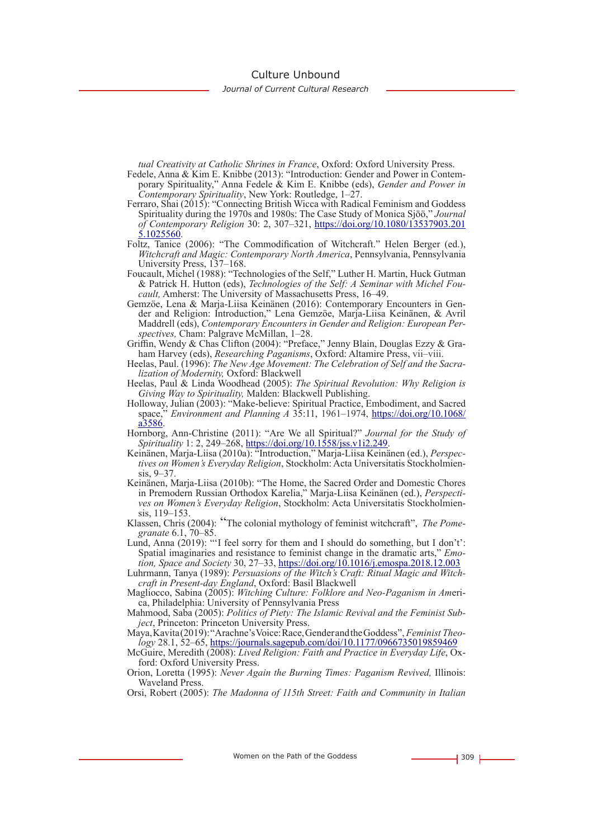Culture Unbound

*Journal of Current Cultural Research*

*tual Creativity at Catholic Shrines in France*, Oxford: Oxford University Press.

- Fedele, Anna & Kim E. Knibbe (2013): "Introduction: Gender and Power in Contemporary Spirituality," Anna Fedele & Kim E. Knibbe (eds), *Gender and Power in Contemporary Spirituality*, New York: Routledge, 1–27.
- Ferraro, Shai (2015): "Connecting British Wicca with Radical Feminism and Goddess Spirituality during the 1970s and 1980s: The Case Study of Monica Sjöö," *Journal of Contemporary Religion* 30: 2, 307–321, https://doi.org/10.1080/13537903.201
- Foltz, Tanice (2006): "The Commodification of Witchcraft." Helen Berger (ed.), *Witchcraft and Magic: Contemporary North America*, Pennsylvania, Pennsylvania University Press, 137–168.
- Foucault, Michel (1988): "Technologies of the Self," Luther H. Martin, Huck Gutman & Patrick H. Hutton (eds), *Technologies of the Self: A Seminar with Michel Fou- cault,* Amherst: The University of Massachusetts Press, 16–49.
- Gemzöe, Lena & Marja-Liisa Keinänen (2016): Contemporary Encounters in Gen- der and Religion: Introduction," Lena Gemzöe, Marja-Liisa Keinänen, & Avril Maddrell (eds), *Contemporary Encounters in Gender and Religion: European Per-*<br>*spectives*, Cham: Palgrave McMillan, 1–28.<br>Griffin, Wendy & Chas Clifton (2004): "Preface," Jenny Blain, Douglas Ezzy & Gra-
- ham Harvey (eds), Researching Paganisms, Oxford: Altamire Press, vii-viii.
- Heelas, Paul. (1996): *The New Age Movement: The Celebration of Self and the Sacra- lization of Modernity,* Oxford: Blackwell
- Heelas, Paul & Linda Woodhead (2005): *The Spiritual Revolution: Why Religion is Giving Way to Spirituality,* Malden: Blackwell Publishing.
- Holloway, Julian (2003): "Make-believe: Spiritual Practice, Embodiment, and Sacred space," *Environment and Planning A* 35:11, 1961–1974, https://doi.org/10.1068/

a3586. Hornborg, Ann-Christine (2011): "Are We all Spiritual?" *Journal for the Study of* 

- Spirituality 1: 2, 249–268, https://doi.org/10.1558/jss.v1i2.249.<br>Keinänen, Marja-Liisa (2010a): "Introduction," Marja-Liisa Keinänen (ed.), Perspectives on Women's Everyday Religion, Stockholm: Acta Universitatis Stockhol
- Keinänen, Marja-Liisa (2010b): "The Home, the Sacred Order and Domestic Chores in Premodern Russian Orthodox Karelia," Marja-Liisa Keinänen (ed.), *Perspecti- ves on Women's Everyday Religion*, Stockholm: Acta Universitatis Stockholmien- sis, 119–153.
- Klassen, Chris (2004): "The colonial mythology of feminist witchcraft", *The Pomegranate* 6.1, 70–85.
- Lund, Anna (2019): "'I feel sorry for them and I should do something, but I don't': Spatial imaginaries and resistance to feminist change in the dramatic arts," *Emotion, Space and Society* 30, 27–33, https://doi.org/10.1016/j.emospa.2018.12.003

Luhrmann, Tanya (1989): *Persuasions of the Witch's Craft: Ritual Magic and Witchcraft in Present-day England*, Oxford: Basil Blackwell

Magliocco, Sabina (2005): *Witching Culture: Folklore and Neo-Paganism in Am*erica, Philadelphia: University of Pennsylvania Press

Mahmood, Saba (2005): *Politics of Piety: The Islamic Revival and the Feminist Subject*, Princeton: Princeton University Press.

Maya, Kavita (2019): "Arachne's Voice: Race, Gender and the Goddess", *Feminist Theology* 28.1, 52–65, https://journals.sagepub.com/doi/10.1177/0966735019859469

Orion, Loretta (1995): *Never Again the Burning Times: Paganism Revived,* Illinois: Waveland Press.

Orsi, Robert (2005): *The Madonna of 115th Street: Faith and Community in Italian* 

McGuire, Meredith (2008): *Lived Religion: Faith and Practice in Everyday Life*, Oxford: Oxford University Press.